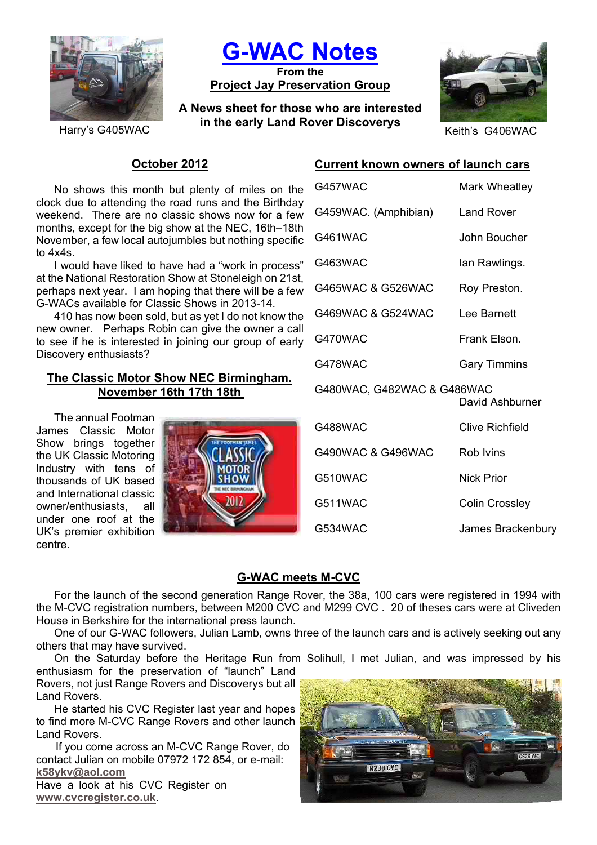

**G-WAC Notes**

**From the Project Jay Preservation Group**

**A News sheet for those who are interested in the early Land Rover Discoverys**<br>Keith's G406WAC



## **October 2012**

No shows this month but plenty of miles on the clock due to attending the road runs and the Birthday weekend. There are no classic shows now for a few months, except for the big show at the NEC, 16th–18th November, a few local autojumbles but nothing specific to 4x4s.

I would have liked to have had a "work in process" at the National Restoration Show at Stoneleigh on 21st, perhaps next year. I am hoping that there will be a few G-WACs available for Classic Shows in 2013-14.

410 has now been sold, but as yet I do not know the new owner. Perhaps Robin can give the owner a call to see if he is interested in joining our group of early Discovery enthusiasts?

## **The Classic Motor Show NEC Birmingham. November 16th 17th 18th**

The annual Footman James Classic Motor Show brings together the UK Classic Motoring Industry with tens of thousands of UK based and International classic owner/enthusiasts, all under one roof at the UK's premier exhibition centre.



# **Current known owners of launch cars**

| G457WAC                    | Mark Wheatley         |
|----------------------------|-----------------------|
| G459WAC. (Amphibian)       | Land Rover            |
| G461WAC                    | John Boucher          |
| G463WAC                    | lan Rawlings.         |
| G465WAC & G526WAC          | Roy Preston.          |
| G469WAC & G524WAC          | Lee Barnett           |
| G470WAC                    | Frank Elson.          |
| G478WAC                    | <b>Gary Timmins</b>   |
| G480WAC, G482WAC & G486WAC | David Ashburner       |
| G488WAC                    | Clive Richfield       |
| G490WAC & G496WAC          | Rob Ivins             |
| G510WAC                    | <b>Nick Prior</b>     |
| G511WAC                    | <b>Colin Crossley</b> |
| G534WAC                    | James Brackenbury     |

# **G-WAC meets M-CVC**

For the launch of the second generation Range Rover, the 38a, 100 cars were registered in 1994 with the M-CVC registration numbers, between M200 CVC and M299 CVC . 20 of theses cars were at Cliveden House in Berkshire for the international press launch.

One of our G-WAC followers, Julian Lamb, owns three of the launch cars and is actively seeking out any others that may have survived.

On the Saturday before the Heritage Run from Solihull, I met Julian, and was impressed by his enthusiasm for the preservation of "launch" Land

Rovers, not just Range Rovers and Discoverys but all Land Rovers.

He started his CVC Register last year and hopes to find more M-CVC Range Rovers and other launch Land Rovers.

If you come across an M-CVC Range Rover, do contact Julian on mobile 07972 172 854, or e-mail: **k58ykv@aol.com**

Have a look at his CVC Register on **www.cvcregister.co.uk**.

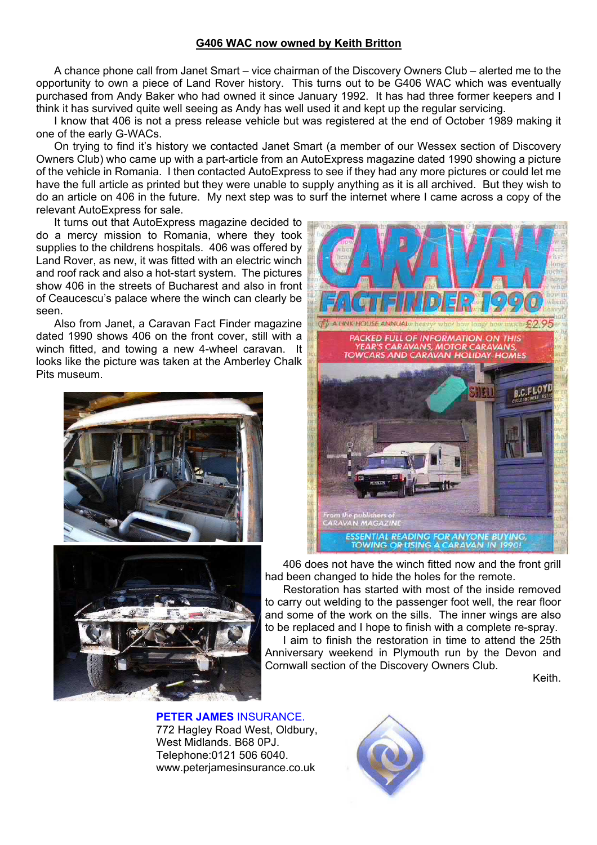#### **G406 WAC now owned by Keith Britton**

A chance phone call from Janet Smart – vice chairman of the Discovery Owners Club – alerted me to the opportunity to own a piece of Land Rover history. This turns out to be G406 WAC which was eventually purchased from Andy Baker who had owned it since January 1992. It has had three former keepers and I think it has survived quite well seeing as Andy has well used it and kept up the regular servicing.

I know that 406 is not a press release vehicle but was registered at the end of October 1989 making it one of the early G-WACs.

On trying to find it's history we contacted Janet Smart (a member of our Wessex section of Discovery Owners Club) who came up with a part-article from an AutoExpress magazine dated 1990 showing a picture of the vehicle in Romania. I then contacted AutoExpress to see if they had any more pictures or could let me have the full article as printed but they were unable to supply anything as it is all archived. But they wish to do an article on 406 in the future. My next step was to surf the internet where I came across a copy of the relevant AutoExpress for sale.

It turns out that AutoExpress magazine decided to do a mercy mission to Romania, where they took supplies to the childrens hospitals. 406 was offered by Land Rover, as new, it was fitted with an electric winch and roof rack and also a hot-start system. The pictures show 406 in the streets of Bucharest and also in front of Ceaucescu's palace where the winch can clearly be seen.

Also from Janet, a Caravan Fact Finder magazine dated 1990 shows 406 on the front cover, still with a winch fitted, and towing a new 4-wheel caravan. It looks like the picture was taken at the Amberley Chalk Pits museum.







406 does not have the winch fitted now and the front grill had been changed to hide the holes for the remote.

Restoration has started with most of the inside removed to carry out welding to the passenger foot well, the rear floor and some of the work on the sills. The inner wings are also to be replaced and I hope to finish with a complete re-spray.

I aim to finish the restoration in time to attend the 25th Anniversary weekend in Plymouth run by the Devon and Cornwall section of the Discovery Owners Club.

Keith.

#### **PETER JAMES** INSURANCE. 772 Hagley Road West, Oldbury, West Midlands. B68 0PJ. Telephone:0121 506 6040. www.peterjamesinsurance.co.uk

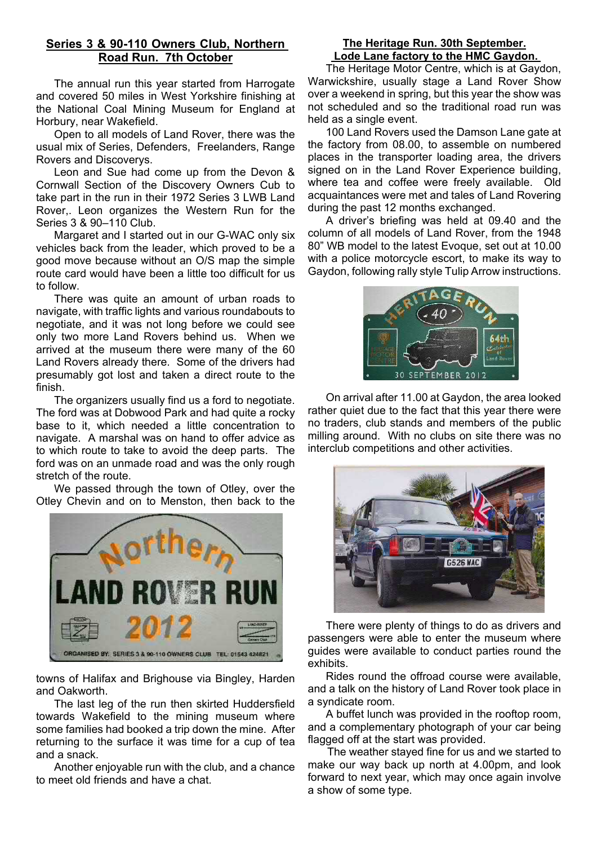## **Series 3 & 90-110 Owners Club, Northern Road Run. 7th October**

The annual run this year started from Harrogate and covered 50 miles in West Yorkshire finishing at the National Coal Mining Museum for England at Horbury, near Wakefield.

Open to all models of Land Rover, there was the usual mix of Series, Defenders, Freelanders, Range Rovers and Discoverys.

Leon and Sue had come up from the Devon & Cornwall Section of the Discovery Owners Cub to take part in the run in their 1972 Series 3 LWB Land Rover,. Leon organizes the Western Run for the Series 3 & 90–110 Club.

Margaret and I started out in our G-WAC only six vehicles back from the leader, which proved to be a good move because without an O/S map the simple route card would have been a little too difficult for us to follow.

There was quite an amount of urban roads to navigate, with traffic lights and various roundabouts to negotiate, and it was not long before we could see only two more Land Rovers behind us. When we arrived at the museum there were many of the 60 Land Rovers already there. Some of the drivers had presumably got lost and taken a direct route to the finish.

The organizers usually find us a ford to negotiate. The ford was at Dobwood Park and had quite a rocky base to it, which needed a little concentration to navigate. A marshal was on hand to offer advice as to which route to take to avoid the deep parts. The ford was on an unmade road and was the only rough stretch of the route.

We passed through the town of Otley, over the Otley Chevin and on to Menston, then back to the



towns of Halifax and Brighouse via Bingley, Harden and Oakworth.

The last leg of the run then skirted Huddersfield towards Wakefield to the mining museum where some families had booked a trip down the mine. After returning to the surface it was time for a cup of tea and a snack.

Another enjoyable run with the club, and a chance to meet old friends and have a chat.

## **The Heritage Run. 30th September. Lode Lane factory to the HMC Gaydon.**

The Heritage Motor Centre, which is at Gaydon, Warwickshire, usually stage a Land Rover Show over a weekend in spring, but this year the show was not scheduled and so the traditional road run was held as a single event.

100 Land Rovers used the Damson Lane gate at the factory from 08.00, to assemble on numbered places in the transporter loading area, the drivers signed on in the Land Rover Experience building, where tea and coffee were freely available. Old acquaintances were met and tales of Land Rovering during the past 12 months exchanged.

A driver's briefing was held at 09.40 and the column of all models of Land Rover, from the 1948 80" WB model to the latest Evoque, set out at 10.00 with a police motorcycle escort, to make its way to Gaydon, following rally style Tulip Arrow instructions.



On arrival after 11.00 at Gaydon, the area looked rather quiet due to the fact that this year there were no traders, club stands and members of the public milling around. With no clubs on site there was no interclub competitions and other activities.



There were plenty of things to do as drivers and passengers were able to enter the museum where guides were available to conduct parties round the exhibits.

Rides round the offroad course were available, and a talk on the history of Land Rover took place in a syndicate room.

A buffet lunch was provided in the rooftop room, and a complementary photograph of your car being flagged off at the start was provided.

 The weather stayed fine for us and we started to make our way back up north at 4.00pm, and look forward to next year, which may once again involve a show of some type.